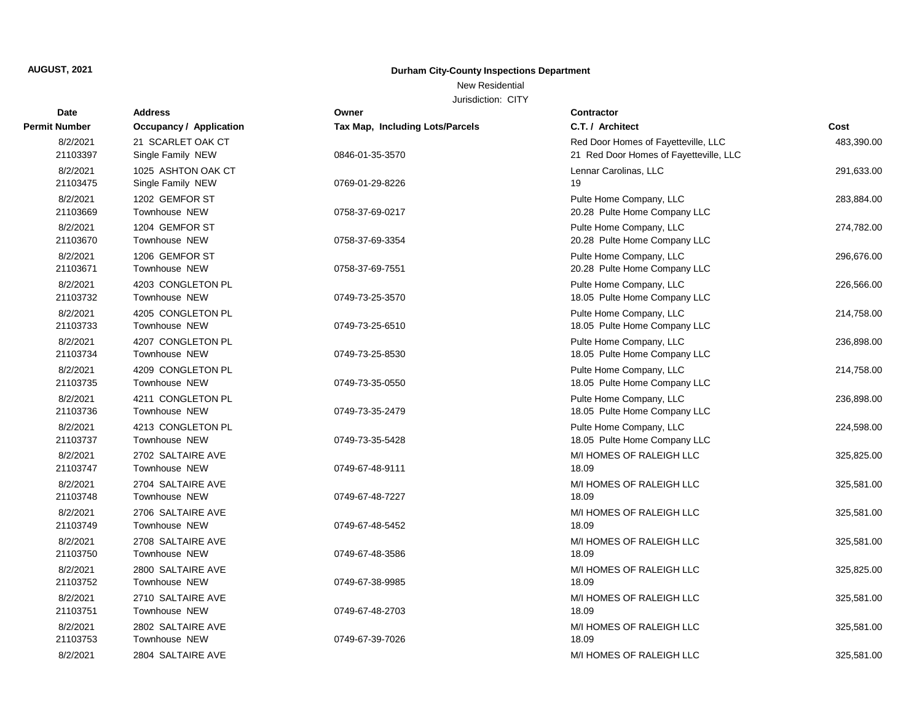New Residential

| Date                 | <b>Address</b>                          | Owner                           | Contractor                                                                    |            |
|----------------------|-----------------------------------------|---------------------------------|-------------------------------------------------------------------------------|------------|
| <b>Permit Number</b> | <b>Occupancy / Application</b>          | Tax Map, Including Lots/Parcels | C.T. / Architect                                                              | Cost       |
| 8/2/2021<br>21103397 | 21 SCARLET OAK CT<br>Single Family NEW  | 0846-01-35-3570                 | Red Door Homes of Fayetteville, LLC<br>21 Red Door Homes of Fayetteville, LLC | 483,390.00 |
| 8/2/2021<br>21103475 | 1025 ASHTON OAK CT<br>Single Family NEW | 0769-01-29-8226                 | Lennar Carolinas, LLC<br>19                                                   | 291,633.00 |
| 8/2/2021<br>21103669 | 1202 GEMFOR ST<br>Townhouse NEW         | 0758-37-69-0217                 | Pulte Home Company, LLC<br>20.28 Pulte Home Company LLC                       | 283,884.00 |
| 8/2/2021<br>21103670 | 1204 GEMFOR ST<br>Townhouse NEW         | 0758-37-69-3354                 | Pulte Home Company, LLC<br>20.28 Pulte Home Company LLC                       | 274,782.00 |
| 8/2/2021<br>21103671 | 1206 GEMFOR ST<br>Townhouse NEW         | 0758-37-69-7551                 | Pulte Home Company, LLC<br>20.28 Pulte Home Company LLC                       | 296,676.00 |
| 8/2/2021<br>21103732 | 4203 CONGLETON PL<br>Townhouse NEW      | 0749-73-25-3570                 | Pulte Home Company, LLC<br>18.05 Pulte Home Company LLC                       | 226,566.00 |
| 8/2/2021<br>21103733 | 4205 CONGLETON PL<br>Townhouse NEW      | 0749-73-25-6510                 | Pulte Home Company, LLC<br>18.05 Pulte Home Company LLC                       | 214,758.00 |
| 8/2/2021<br>21103734 | 4207 CONGLETON PL<br>Townhouse NEW      | 0749-73-25-8530                 | Pulte Home Company, LLC<br>18.05 Pulte Home Company LLC                       | 236,898.00 |
| 8/2/2021<br>21103735 | 4209 CONGLETON PL<br>Townhouse NEW      | 0749-73-35-0550                 | Pulte Home Company, LLC<br>18.05 Pulte Home Company LLC                       | 214,758.00 |
| 8/2/2021<br>21103736 | 4211 CONGLETON PL<br>Townhouse NEW      | 0749-73-35-2479                 | Pulte Home Company, LLC<br>18.05 Pulte Home Company LLC                       | 236,898.00 |
| 8/2/2021<br>21103737 | 4213 CONGLETON PL<br>Townhouse NEW      | 0749-73-35-5428                 | Pulte Home Company, LLC<br>18.05 Pulte Home Company LLC                       | 224,598.00 |
| 8/2/2021<br>21103747 | 2702 SALTAIRE AVE<br>Townhouse NEW      | 0749-67-48-9111                 | M/I HOMES OF RALEIGH LLC<br>18.09                                             | 325,825.00 |
| 8/2/2021<br>21103748 | 2704 SALTAIRE AVE<br>Townhouse NEW      | 0749-67-48-7227                 | M/I HOMES OF RALEIGH LLC<br>18.09                                             | 325,581.00 |
| 8/2/2021<br>21103749 | 2706 SALTAIRE AVE<br>Townhouse NEW      | 0749-67-48-5452                 | M/I HOMES OF RALEIGH LLC<br>18.09                                             | 325,581.00 |
| 8/2/2021<br>21103750 | 2708 SALTAIRE AVE<br>Townhouse NEW      | 0749-67-48-3586                 | M/I HOMES OF RALEIGH LLC<br>18.09                                             | 325,581.00 |
| 8/2/2021<br>21103752 | 2800 SALTAIRE AVE<br>Townhouse NEW      | 0749-67-38-9985                 | M/I HOMES OF RALEIGH LLC<br>18.09                                             | 325,825.00 |
| 8/2/2021<br>21103751 | 2710 SALTAIRE AVE<br>Townhouse NEW      | 0749-67-48-2703                 | M/I HOMES OF RALEIGH LLC<br>18.09                                             | 325,581.00 |
| 8/2/2021<br>21103753 | 2802 SALTAIRE AVE<br>Townhouse NEW      | 0749-67-39-7026                 | M/I HOMES OF RALEIGH LLC<br>18.09                                             | 325,581.00 |
| 8/2/2021             | 2804 SALTAIRE AVE                       |                                 | M/I HOMES OF RALEIGH LLC                                                      | 325,581.00 |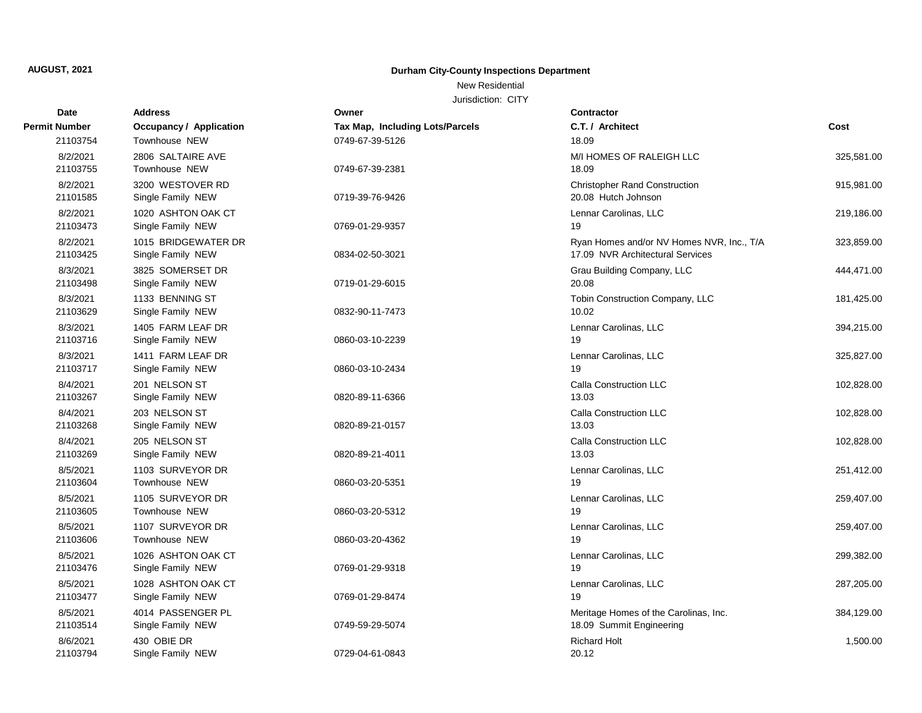New Residential

| Date                 | <b>Address</b>                            | Owner                           | Contractor                                                                    |            |
|----------------------|-------------------------------------------|---------------------------------|-------------------------------------------------------------------------------|------------|
| Permit Number        | <b>Occupancy / Application</b>            | Tax Map, Including Lots/Parcels | C.T. / Architect                                                              | Cost       |
| 21103754             | Townhouse NEW                             | 0749-67-39-5126                 | 18.09                                                                         |            |
| 8/2/2021<br>21103755 | 2806 SALTAIRE AVE<br><b>Townhouse NEW</b> | 0749-67-39-2381                 | M/I HOMES OF RALEIGH LLC<br>18.09                                             | 325,581.00 |
| 8/2/2021<br>21101585 | 3200 WESTOVER RD<br>Single Family NEW     | 0719-39-76-9426                 | <b>Christopher Rand Construction</b><br>20.08 Hutch Johnson                   | 915,981.00 |
| 8/2/2021<br>21103473 | 1020 ASHTON OAK CT<br>Single Family NEW   | 0769-01-29-9357                 | Lennar Carolinas, LLC<br>19                                                   | 219,186.00 |
| 8/2/2021<br>21103425 | 1015 BRIDGEWATER DR<br>Single Family NEW  | 0834-02-50-3021                 | Ryan Homes and/or NV Homes NVR, Inc., T/A<br>17.09 NVR Architectural Services | 323,859.00 |
| 8/3/2021<br>21103498 | 3825 SOMERSET DR<br>Single Family NEW     | 0719-01-29-6015                 | Grau Building Company, LLC<br>20.08                                           | 444,471.00 |
| 8/3/2021<br>21103629 | 1133 BENNING ST<br>Single Family NEW      | 0832-90-11-7473                 | Tobin Construction Company, LLC<br>10.02                                      | 181,425.00 |
| 8/3/2021<br>21103716 | 1405 FARM LEAF DR<br>Single Family NEW    | 0860-03-10-2239                 | Lennar Carolinas, LLC<br>19                                                   | 394,215.00 |
| 8/3/2021<br>21103717 | 1411 FARM LEAF DR<br>Single Family NEW    | 0860-03-10-2434                 | Lennar Carolinas, LLC<br>19                                                   | 325,827.00 |
| 8/4/2021<br>21103267 | 201 NELSON ST<br>Single Family NEW        | 0820-89-11-6366                 | Calla Construction LLC<br>13.03                                               | 102,828.00 |
| 8/4/2021<br>21103268 | 203 NELSON ST<br>Single Family NEW        | 0820-89-21-0157                 | Calla Construction LLC<br>13.03                                               | 102,828.00 |
| 8/4/2021<br>21103269 | 205 NELSON ST<br>Single Family NEW        | 0820-89-21-4011                 | Calla Construction LLC<br>13.03                                               | 102,828.00 |
| 8/5/2021<br>21103604 | 1103 SURVEYOR DR<br>Townhouse NEW         | 0860-03-20-5351                 | Lennar Carolinas, LLC<br>19                                                   | 251,412.00 |
| 8/5/2021<br>21103605 | 1105 SURVEYOR DR<br>Townhouse NEW         | 0860-03-20-5312                 | Lennar Carolinas, LLC<br>19                                                   | 259,407.00 |
| 8/5/2021<br>21103606 | 1107 SURVEYOR DR<br>Townhouse NEW         | 0860-03-20-4362                 | Lennar Carolinas, LLC<br>19                                                   | 259,407.00 |
| 8/5/2021<br>21103476 | 1026 ASHTON OAK CT<br>Single Family NEW   | 0769-01-29-9318                 | Lennar Carolinas, LLC<br>19                                                   | 299,382.00 |
| 8/5/2021<br>21103477 | 1028 ASHTON OAK CT<br>Single Family NEW   | 0769-01-29-8474                 | Lennar Carolinas, LLC<br>19                                                   | 287,205.00 |
| 8/5/2021<br>21103514 | 4014 PASSENGER PL<br>Single Family NEW    | 0749-59-29-5074                 | Meritage Homes of the Carolinas, Inc.<br>18.09 Summit Engineering             | 384,129.00 |
| 8/6/2021<br>21103794 | 430 OBIE DR<br>Single Family NEW          | 0729-04-61-0843                 | <b>Richard Holt</b><br>20.12                                                  | 1,500.00   |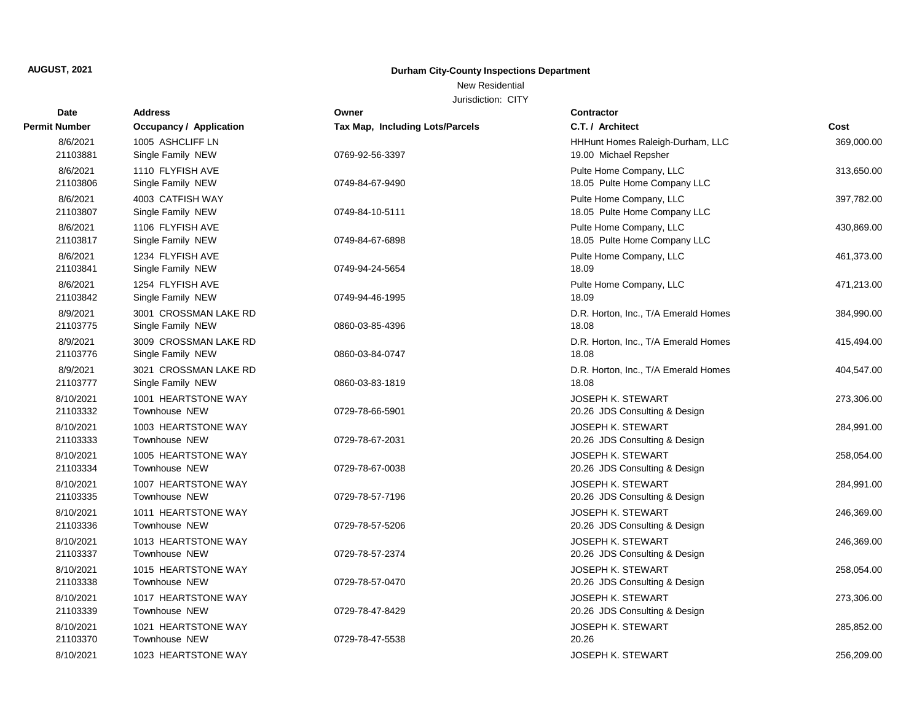New Residential

| Date                  | <b>Address</b>                              | Owner                           | Contractor                                                |            |
|-----------------------|---------------------------------------------|---------------------------------|-----------------------------------------------------------|------------|
| <b>Permit Number</b>  | <b>Occupancy / Application</b>              | Tax Map, Including Lots/Parcels | C.T. / Architect                                          | Cost       |
| 8/6/2021<br>21103881  | 1005 ASHCLIFF LN<br>Single Family NEW       | 0769-92-56-3397                 | HHHunt Homes Raleigh-Durham, LLC<br>19.00 Michael Repsher | 369,000.00 |
| 8/6/2021<br>21103806  | 1110 FLYFISH AVE<br>Single Family NEW       | 0749-84-67-9490                 | Pulte Home Company, LLC<br>18.05 Pulte Home Company LLC   | 313,650.00 |
| 8/6/2021<br>21103807  | 4003 CATFISH WAY<br>Single Family NEW       | 0749-84-10-5111                 | Pulte Home Company, LLC<br>18.05 Pulte Home Company LLC   | 397,782.00 |
| 8/6/2021<br>21103817  | 1106 FLYFISH AVE<br>Single Family NEW       | 0749-84-67-6898                 | Pulte Home Company, LLC<br>18.05 Pulte Home Company LLC   | 430,869.00 |
| 8/6/2021<br>21103841  | 1234 FLYFISH AVE<br>Single Family NEW       | 0749-94-24-5654                 | Pulte Home Company, LLC<br>18.09                          | 461,373.00 |
| 8/6/2021<br>21103842  | 1254 FLYFISH AVE<br>Single Family NEW       | 0749-94-46-1995                 | Pulte Home Company, LLC<br>18.09                          | 471,213.00 |
| 8/9/2021<br>21103775  | 3001 CROSSMAN LAKE RD<br>Single Family NEW  | 0860-03-85-4396                 | D.R. Horton, Inc., T/A Emerald Homes<br>18.08             | 384,990.00 |
| 8/9/2021<br>21103776  | 3009 CROSSMAN LAKE RD<br>Single Family NEW  | 0860-03-84-0747                 | D.R. Horton, Inc., T/A Emerald Homes<br>18.08             | 415,494.00 |
| 8/9/2021<br>21103777  | 3021 CROSSMAN LAKE RD<br>Single Family NEW  | 0860-03-83-1819                 | D.R. Horton, Inc., T/A Emerald Homes<br>18.08             | 404,547.00 |
| 8/10/2021<br>21103332 | 1001 HEARTSTONE WAY<br>Townhouse NEW        | 0729-78-66-5901                 | <b>JOSEPH K. STEWART</b><br>20.26 JDS Consulting & Design | 273,306.00 |
| 8/10/2021<br>21103333 | 1003 HEARTSTONE WAY<br>Townhouse NEW        | 0729-78-67-2031                 | JOSEPH K. STEWART<br>20.26 JDS Consulting & Design        | 284,991.00 |
| 8/10/2021<br>21103334 | 1005 HEARTSTONE WAY<br>Townhouse NEW        | 0729-78-67-0038                 | JOSEPH K. STEWART<br>20.26 JDS Consulting & Design        | 258,054.00 |
| 8/10/2021<br>21103335 | 1007 HEARTSTONE WAY<br>Townhouse NEW        | 0729-78-57-7196                 | <b>JOSEPH K. STEWART</b><br>20.26 JDS Consulting & Design | 284,991.00 |
| 8/10/2021<br>21103336 | 1011 HEARTSTONE WAY<br>Townhouse NEW        | 0729-78-57-5206                 | <b>JOSEPH K. STEWART</b><br>20.26 JDS Consulting & Design | 246,369.00 |
| 8/10/2021<br>21103337 | 1013 HEARTSTONE WAY<br>Townhouse NEW        | 0729-78-57-2374                 | <b>JOSEPH K. STEWART</b><br>20.26 JDS Consulting & Design | 246,369.00 |
| 8/10/2021<br>21103338 | 1015 HEARTSTONE WAY<br>Townhouse NEW        | 0729-78-57-0470                 | JOSEPH K. STEWART<br>20.26 JDS Consulting & Design        | 258,054.00 |
| 8/10/2021<br>21103339 | 1017 HEARTSTONE WAY<br>Townhouse NEW        | 0729-78-47-8429                 | <b>JOSEPH K. STEWART</b><br>20.26 JDS Consulting & Design | 273,306.00 |
| 8/10/2021<br>21103370 | 1021 HEARTSTONE WAY<br><b>Townhouse NEW</b> | 0729-78-47-5538                 | <b>JOSEPH K. STEWART</b><br>20.26                         | 285,852.00 |
| 8/10/2021             | 1023 HEARTSTONE WAY                         |                                 | <b>JOSEPH K. STEWART</b>                                  | 256,209.00 |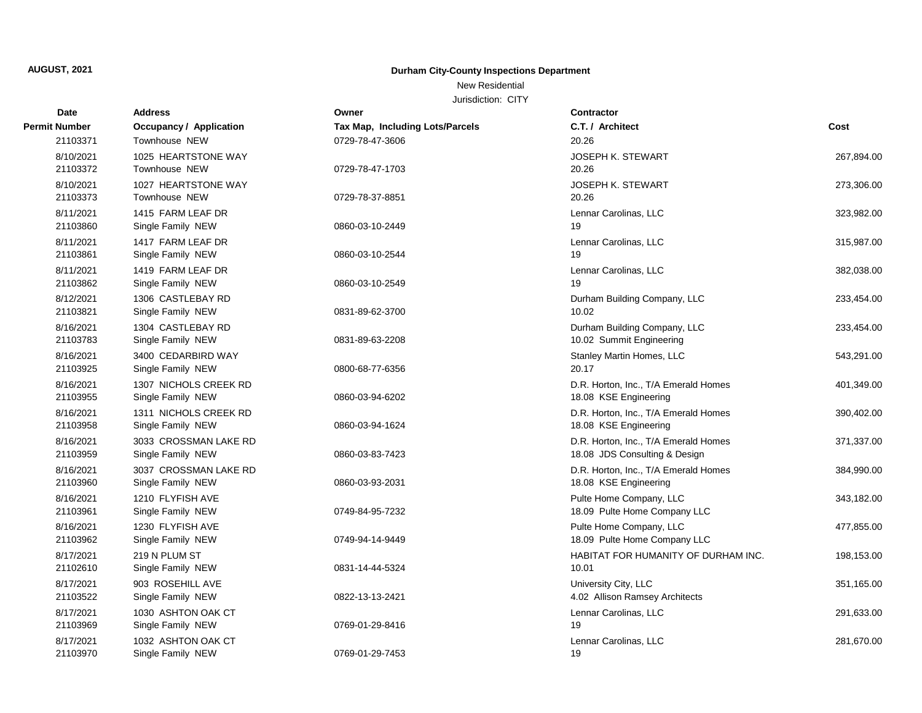## New Residential

| Date                  | <b>Address</b>                             | Owner                           | Contractor                                                            |            |
|-----------------------|--------------------------------------------|---------------------------------|-----------------------------------------------------------------------|------------|
| Permit Number         | <b>Occupancy / Application</b>             | Tax Map, Including Lots/Parcels | C.T. / Architect                                                      | Cost       |
| 21103371              | Townhouse NEW                              | 0729-78-47-3606                 | 20.26                                                                 |            |
| 8/10/2021<br>21103372 | 1025 HEARTSTONE WAY<br>Townhouse NEW       | 0729-78-47-1703                 | <b>JOSEPH K. STEWART</b><br>20.26                                     | 267,894.00 |
| 8/10/2021<br>21103373 | 1027 HEARTSTONE WAY<br>Townhouse NEW       | 0729-78-37-8851                 | JOSEPH K. STEWART<br>20.26                                            | 273,306.00 |
| 8/11/2021<br>21103860 | 1415 FARM LEAF DR<br>Single Family NEW     | 0860-03-10-2449                 | Lennar Carolinas, LLC<br>19                                           | 323,982.00 |
| 8/11/2021<br>21103861 | 1417 FARM LEAF DR<br>Single Family NEW     | 0860-03-10-2544                 | Lennar Carolinas, LLC<br>19                                           | 315,987.00 |
| 8/11/2021<br>21103862 | 1419 FARM LEAF DR<br>Single Family NEW     | 0860-03-10-2549                 | Lennar Carolinas, LLC<br>19                                           | 382,038.00 |
| 8/12/2021<br>21103821 | 1306 CASTLEBAY RD<br>Single Family NEW     | 0831-89-62-3700                 | Durham Building Company, LLC<br>10.02                                 | 233,454.00 |
| 8/16/2021<br>21103783 | 1304 CASTLEBAY RD<br>Single Family NEW     | 0831-89-63-2208                 | Durham Building Company, LLC<br>10.02 Summit Engineering              | 233,454.00 |
| 8/16/2021<br>21103925 | 3400 CEDARBIRD WAY<br>Single Family NEW    | 0800-68-77-6356                 | Stanley Martin Homes, LLC<br>20.17                                    | 543,291.00 |
| 8/16/2021<br>21103955 | 1307 NICHOLS CREEK RD<br>Single Family NEW | 0860-03-94-6202                 | D.R. Horton, Inc., T/A Emerald Homes<br>18.08 KSE Engineering         | 401,349.00 |
| 8/16/2021<br>21103958 | 1311 NICHOLS CREEK RD<br>Single Family NEW | 0860-03-94-1624                 | D.R. Horton, Inc., T/A Emerald Homes<br>18.08 KSE Engineering         | 390,402.00 |
| 8/16/2021<br>21103959 | 3033 CROSSMAN LAKE RD<br>Single Family NEW | 0860-03-83-7423                 | D.R. Horton, Inc., T/A Emerald Homes<br>18.08 JDS Consulting & Design | 371,337.00 |
| 8/16/2021<br>21103960 | 3037 CROSSMAN LAKE RD<br>Single Family NEW | 0860-03-93-2031                 | D.R. Horton, Inc., T/A Emerald Homes<br>18.08 KSE Engineering         | 384,990.00 |
| 8/16/2021<br>21103961 | 1210 FLYFISH AVE<br>Single Family NEW      | 0749-84-95-7232                 | Pulte Home Company, LLC<br>18.09 Pulte Home Company LLC               | 343,182.00 |
| 8/16/2021<br>21103962 | 1230 FLYFISH AVE<br>Single Family NEW      | 0749-94-14-9449                 | Pulte Home Company, LLC<br>18.09 Pulte Home Company LLC               | 477,855.00 |
| 8/17/2021<br>21102610 | 219 N PLUM ST<br>Single Family NEW         | 0831-14-44-5324                 | HABITAT FOR HUMANITY OF DURHAM INC.<br>10.01                          | 198,153.00 |
| 8/17/2021<br>21103522 | 903 ROSEHILL AVE<br>Single Family NEW      | 0822-13-13-2421                 | University City, LLC<br>4.02 Allison Ramsey Architects                | 351,165.00 |
| 8/17/2021<br>21103969 | 1030 ASHTON OAK CT<br>Single Family NEW    | 0769-01-29-8416                 | Lennar Carolinas, LLC<br>19                                           | 291,633.00 |
| 8/17/2021<br>21103970 | 1032 ASHTON OAK CT<br>Single Family NEW    | 0769-01-29-7453                 | Lennar Carolinas, LLC<br>19                                           | 281,670.00 |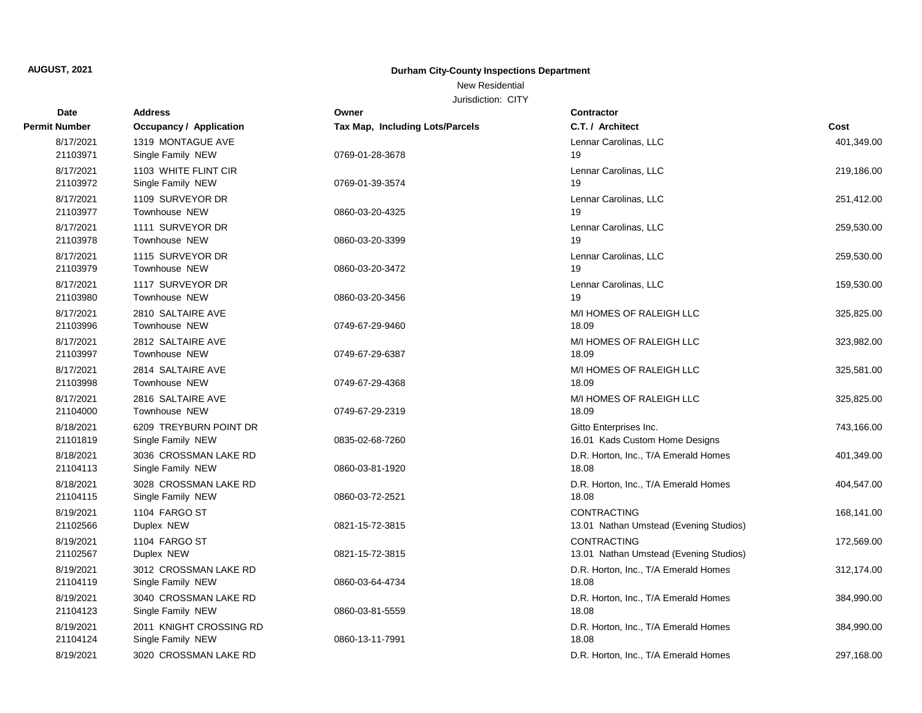New Residential

| Date                  | <b>Address</b>                            | Owner                           | <b>Contractor</b>                      |            |
|-----------------------|-------------------------------------------|---------------------------------|----------------------------------------|------------|
| Permit Number         | <b>Occupancy / Application</b>            | Tax Map, Including Lots/Parcels | C.T. / Architect                       | Cost       |
| 8/17/2021             | 1319 MONTAGUE AVE                         |                                 | Lennar Carolinas, LLC                  | 401,349.00 |
| 21103971              | Single Family NEW                         | 0769-01-28-3678                 | 19                                     |            |
| 8/17/2021             | 1103 WHITE FLINT CIR                      |                                 | Lennar Carolinas, LLC                  | 219,186.00 |
| 21103972              | Single Family NEW                         | 0769-01-39-3574                 | 19                                     |            |
| 8/17/2021             | 1109 SURVEYOR DR                          |                                 | Lennar Carolinas, LLC                  | 251,412.00 |
| 21103977              | Townhouse NEW                             | 0860-03-20-4325                 | 19                                     |            |
| 8/17/2021             | 1111 SURVEYOR DR                          |                                 | Lennar Carolinas, LLC                  | 259,530.00 |
| 21103978              | Townhouse NEW                             | 0860-03-20-3399                 | 19                                     |            |
| 8/17/2021             | 1115 SURVEYOR DR                          |                                 | Lennar Carolinas, LLC                  | 259,530.00 |
| 21103979              | Townhouse NEW                             | 0860-03-20-3472                 | 19                                     |            |
| 8/17/2021             | 1117 SURVEYOR DR                          |                                 | Lennar Carolinas, LLC                  | 159,530.00 |
| 21103980              | Townhouse NEW                             | 0860-03-20-3456                 | 19                                     |            |
| 8/17/2021             | 2810 SALTAIRE AVE                         |                                 | M/I HOMES OF RALEIGH LLC               | 325,825.00 |
| 21103996              | Townhouse NEW                             | 0749-67-29-9460                 | 18.09                                  |            |
| 8/17/2021<br>21103997 | 2812 SALTAIRE AVE                         |                                 | M/I HOMES OF RALEIGH LLC               | 323,982.00 |
|                       | Townhouse NEW                             | 0749-67-29-6387                 | 18.09                                  |            |
| 8/17/2021<br>21103998 | 2814 SALTAIRE AVE<br><b>Townhouse NEW</b> | 0749-67-29-4368                 | M/I HOMES OF RALEIGH LLC<br>18.09      | 325,581.00 |
| 8/17/2021             | 2816 SALTAIRE AVE                         |                                 | M/I HOMES OF RALEIGH LLC               |            |
| 21104000              | Townhouse NEW                             | 0749-67-29-2319                 | 18.09                                  | 325,825.00 |
| 8/18/2021             | 6209 TREYBURN POINT DR                    |                                 | Gitto Enterprises Inc.                 | 743,166.00 |
| 21101819              | Single Family NEW                         | 0835-02-68-7260                 | 16.01 Kads Custom Home Designs         |            |
| 8/18/2021             | 3036 CROSSMAN LAKE RD                     |                                 | D.R. Horton, Inc., T/A Emerald Homes   | 401,349.00 |
| 21104113              | Single Family NEW                         | 0860-03-81-1920                 | 18.08                                  |            |
| 8/18/2021             | 3028 CROSSMAN LAKE RD                     |                                 | D.R. Horton, Inc., T/A Emerald Homes   | 404,547.00 |
| 21104115              | Single Family NEW                         | 0860-03-72-2521                 | 18.08                                  |            |
| 8/19/2021             | 1104 FARGO ST                             |                                 | CONTRACTING                            | 168,141.00 |
| 21102566              | Duplex NEW                                | 0821-15-72-3815                 | 13.01 Nathan Umstead (Evening Studios) |            |
| 8/19/2021             | 1104 FARGO ST                             |                                 | <b>CONTRACTING</b>                     | 172,569.00 |
| 21102567              | Duplex NEW                                | 0821-15-72-3815                 | 13.01 Nathan Umstead (Evening Studios) |            |
| 8/19/2021             | 3012 CROSSMAN LAKE RD                     |                                 | D.R. Horton, Inc., T/A Emerald Homes   | 312,174.00 |
| 21104119              | Single Family NEW                         | 0860-03-64-4734                 | 18.08                                  |            |
| 8/19/2021             | 3040 CROSSMAN LAKE RD                     |                                 | D.R. Horton, Inc., T/A Emerald Homes   | 384,990.00 |
| 21104123              | Single Family NEW                         | 0860-03-81-5559                 | 18.08                                  |            |
| 8/19/2021             | 2011 KNIGHT CROSSING RD                   |                                 | D.R. Horton, Inc., T/A Emerald Homes   | 384,990.00 |
| 21104124              | Single Family NEW                         | 0860-13-11-7991                 | 18.08                                  |            |
| 8/19/2021             | 3020 CROSSMAN LAKE RD                     |                                 | D.R. Horton, Inc., T/A Emerald Homes   | 297.168.00 |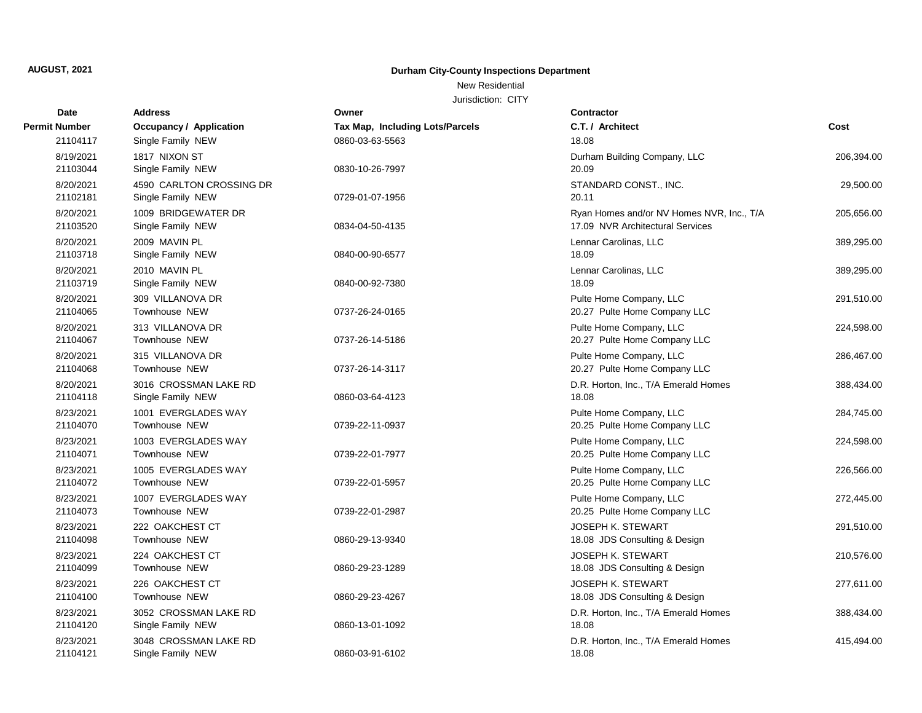New Residential

| <b>Date</b>           | <b>Address</b>                                | Owner                           | <b>Contractor</b>                                                             |            |
|-----------------------|-----------------------------------------------|---------------------------------|-------------------------------------------------------------------------------|------------|
| Permit Number         | Occupancy / Application                       | Tax Map, Including Lots/Parcels | C.T. / Architect                                                              | Cost       |
| 21104117              | Single Family NEW                             | 0860-03-63-5563                 | 18.08                                                                         |            |
| 8/19/2021<br>21103044 | 1817 NIXON ST<br>Single Family NEW            | 0830-10-26-7997                 | Durham Building Company, LLC<br>20.09                                         | 206,394.00 |
| 8/20/2021<br>21102181 | 4590 CARLTON CROSSING DR<br>Single Family NEW | 0729-01-07-1956                 | STANDARD CONST., INC.<br>20.11                                                | 29,500.00  |
| 8/20/2021<br>21103520 | 1009 BRIDGEWATER DR<br>Single Family NEW      | 0834-04-50-4135                 | Ryan Homes and/or NV Homes NVR, Inc., T/A<br>17.09 NVR Architectural Services | 205,656.00 |
| 8/20/2021<br>21103718 | 2009 MAVIN PL<br>Single Family NEW            | 0840-00-90-6577                 | Lennar Carolinas, LLC<br>18.09                                                | 389,295.00 |
| 8/20/2021<br>21103719 | 2010 MAVIN PL<br>Single Family NEW            | 0840-00-92-7380                 | Lennar Carolinas, LLC<br>18.09                                                | 389,295.00 |
| 8/20/2021<br>21104065 | 309 VILLANOVA DR<br>Townhouse NEW             | 0737-26-24-0165                 | Pulte Home Company, LLC<br>20.27 Pulte Home Company LLC                       | 291,510.00 |
| 8/20/2021<br>21104067 | 313 VILLANOVA DR<br><b>Townhouse NEW</b>      | 0737-26-14-5186                 | Pulte Home Company, LLC<br>20.27 Pulte Home Company LLC                       | 224,598.00 |
| 8/20/2021<br>21104068 | 315 VILLANOVA DR<br><b>Townhouse NEW</b>      | 0737-26-14-3117                 | Pulte Home Company, LLC<br>20.27 Pulte Home Company LLC                       | 286,467.00 |
| 8/20/2021<br>21104118 | 3016 CROSSMAN LAKE RD<br>Single Family NEW    | 0860-03-64-4123                 | D.R. Horton, Inc., T/A Emerald Homes<br>18.08                                 | 388,434.00 |
| 8/23/2021<br>21104070 | 1001 EVERGLADES WAY<br>Townhouse NEW          | 0739-22-11-0937                 | Pulte Home Company, LLC<br>20.25 Pulte Home Company LLC                       | 284,745.00 |
| 8/23/2021<br>21104071 | 1003 EVERGLADES WAY<br>Townhouse NEW          | 0739-22-01-7977                 | Pulte Home Company, LLC<br>20.25 Pulte Home Company LLC                       | 224,598.00 |
| 8/23/2021<br>21104072 | 1005 EVERGLADES WAY<br>Townhouse NEW          | 0739-22-01-5957                 | Pulte Home Company, LLC<br>20.25 Pulte Home Company LLC                       | 226,566.00 |
| 8/23/2021<br>21104073 | 1007 EVERGLADES WAY<br>Townhouse NEW          | 0739-22-01-2987                 | Pulte Home Company, LLC<br>20.25 Pulte Home Company LLC                       | 272,445.00 |
| 8/23/2021<br>21104098 | 222 OAKCHEST CT<br><b>Townhouse NEW</b>       | 0860-29-13-9340                 | JOSEPH K. STEWART<br>18.08 JDS Consulting & Design                            | 291,510.00 |
| 8/23/2021<br>21104099 | 224 OAKCHEST CT<br>Townhouse NEW              | 0860-29-23-1289                 | <b>JOSEPH K. STEWART</b><br>18.08 JDS Consulting & Design                     | 210,576.00 |
| 8/23/2021<br>21104100 | 226 OAKCHEST CT<br>Townhouse NEW              | 0860-29-23-4267                 | <b>JOSEPH K. STEWART</b><br>18.08 JDS Consulting & Design                     | 277,611.00 |
| 8/23/2021<br>21104120 | 3052 CROSSMAN LAKE RD<br>Single Family NEW    | 0860-13-01-1092                 | D.R. Horton, Inc., T/A Emerald Homes<br>18.08                                 | 388,434.00 |
| 8/23/2021<br>21104121 | 3048 CROSSMAN LAKE RD<br>Single Family NEW    | 0860-03-91-6102                 | D.R. Horton, Inc., T/A Emerald Homes<br>18.08                                 | 415,494.00 |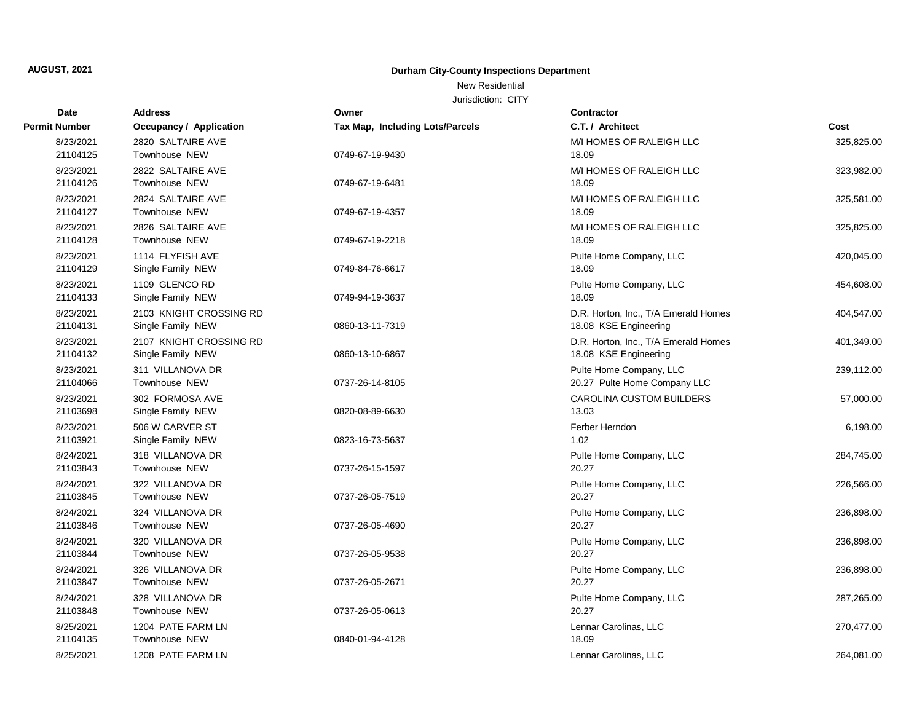New Residential

| <b>Date</b>          | <b>Address</b>                 | Owner                           | <b>Contractor</b>                    |            |
|----------------------|--------------------------------|---------------------------------|--------------------------------------|------------|
| <b>Permit Number</b> | <b>Occupancy / Application</b> | Tax Map, Including Lots/Parcels | C.T. / Architect                     | Cost       |
| 8/23/2021            | 2820 SALTAIRE AVE              |                                 | M/I HOMES OF RALEIGH LLC             | 325,825.00 |
| 21104125             | Townhouse NEW                  | 0749-67-19-9430                 | 18.09                                |            |
| 8/23/2021            | 2822 SALTAIRE AVE              |                                 | M/I HOMES OF RALEIGH LLC             | 323,982.00 |
| 21104126             | <b>Townhouse NEW</b>           | 0749-67-19-6481                 | 18.09                                |            |
| 8/23/2021            | 2824 SALTAIRE AVE              |                                 | M/I HOMES OF RALEIGH LLC             | 325,581.00 |
| 21104127             | Townhouse NEW                  | 0749-67-19-4357                 | 18.09                                |            |
| 8/23/2021            | 2826 SALTAIRE AVE              |                                 | M/I HOMES OF RALEIGH LLC             | 325,825.00 |
| 21104128             | <b>Townhouse NEW</b>           | 0749-67-19-2218                 | 18.09                                |            |
| 8/23/2021            | 1114 FLYFISH AVE               |                                 | Pulte Home Company, LLC              | 420,045.00 |
| 21104129             | Single Family NEW              | 0749-84-76-6617                 | 18.09                                |            |
| 8/23/2021            | 1109 GLENCO RD                 |                                 | Pulte Home Company, LLC              | 454,608.00 |
| 21104133             | Single Family NEW              | 0749-94-19-3637                 | 18.09                                |            |
| 8/23/2021            | 2103 KNIGHT CROSSING RD        |                                 | D.R. Horton, Inc., T/A Emerald Homes | 404,547.00 |
| 21104131             | Single Family NEW              | 0860-13-11-7319                 | 18.08 KSE Engineering                |            |
| 8/23/2021            | 2107 KNIGHT CROSSING RD        |                                 | D.R. Horton, Inc., T/A Emerald Homes | 401,349.00 |
| 21104132             | Single Family NEW              | 0860-13-10-6867                 | 18.08 KSE Engineering                |            |
| 8/23/2021            | 311 VILLANOVA DR               |                                 | Pulte Home Company, LLC              | 239,112.00 |
| 21104066             | Townhouse NEW                  | 0737-26-14-8105                 | 20.27 Pulte Home Company LLC         |            |
| 8/23/2021            | 302 FORMOSA AVE                |                                 | CAROLINA CUSTOM BUILDERS             | 57,000.00  |
| 21103698             | Single Family NEW              | 0820-08-89-6630                 | 13.03                                |            |
| 8/23/2021            | 506 W CARVER ST                |                                 | Ferber Herndon                       | 6,198.00   |
| 21103921             | Single Family NEW              | 0823-16-73-5637                 | 1.02                                 |            |
| 8/24/2021            | 318 VILLANOVA DR               |                                 | Pulte Home Company, LLC              | 284,745.00 |
| 21103843             | Townhouse NEW                  | 0737-26-15-1597                 | 20.27                                |            |
| 8/24/2021            | 322 VILLANOVA DR               |                                 | Pulte Home Company, LLC              | 226,566.00 |
| 21103845             | Townhouse NEW                  | 0737-26-05-7519                 | 20.27                                |            |
| 8/24/2021            | 324 VILLANOVA DR               |                                 | Pulte Home Company, LLC              | 236,898.00 |
| 21103846             | Townhouse NEW                  | 0737-26-05-4690                 | 20.27                                |            |
| 8/24/2021            | 320 VILLANOVA DR               |                                 | Pulte Home Company, LLC              | 236,898.00 |
| 21103844             | Townhouse NEW                  | 0737-26-05-9538                 | 20.27                                |            |
| 8/24/2021            | 326 VILLANOVA DR               |                                 | Pulte Home Company, LLC              | 236,898.00 |
| 21103847             | <b>Townhouse NEW</b>           | 0737-26-05-2671                 | 20.27                                |            |
| 8/24/2021            | 328 VILLANOVA DR               |                                 | Pulte Home Company, LLC              | 287,265.00 |
| 21103848             | Townhouse NEW                  | 0737-26-05-0613                 | 20.27                                |            |
| 8/25/2021            | 1204 PATE FARM LN              |                                 | Lennar Carolinas, LLC                | 270,477.00 |
| 21104135             | <b>Townhouse NEW</b>           | 0840-01-94-4128                 | 18.09                                |            |
| 8/25/2021            | 1208 PATE FARM LN              |                                 | Lennar Carolinas, LLC                | 264,081.00 |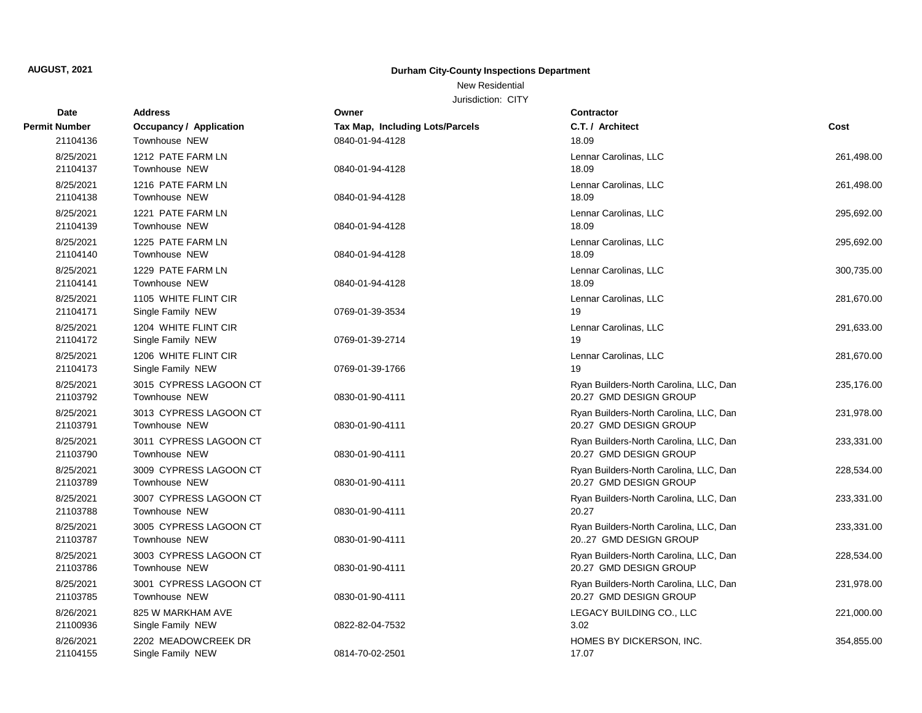## New Residential

| Date                  | <b>Address</b>                                 | Owner                           | <b>Contractor</b>                                                |            |
|-----------------------|------------------------------------------------|---------------------------------|------------------------------------------------------------------|------------|
| Permit Number         | <b>Occupancy / Application</b>                 | Tax Map, Including Lots/Parcels | C.T. / Architect                                                 | Cost       |
| 21104136              | Townhouse NEW                                  | 0840-01-94-4128                 | 18.09                                                            |            |
| 8/25/2021<br>21104137 | 1212 PATE FARM LN<br>Townhouse NEW             | 0840-01-94-4128                 | Lennar Carolinas, LLC<br>18.09                                   | 261,498.00 |
| 8/25/2021<br>21104138 | 1216 PATE FARM LN<br><b>Townhouse NEW</b>      | 0840-01-94-4128                 | Lennar Carolinas, LLC<br>18.09                                   | 261,498.00 |
| 8/25/2021<br>21104139 | 1221 PATE FARM LN<br>Townhouse NEW             | 0840-01-94-4128                 | Lennar Carolinas, LLC<br>18.09                                   | 295,692.00 |
| 8/25/2021<br>21104140 | 1225 PATE FARM LN<br><b>Townhouse NEW</b>      | 0840-01-94-4128                 | Lennar Carolinas, LLC<br>18.09                                   | 295,692.00 |
| 8/25/2021<br>21104141 | 1229 PATE FARM LN<br>Townhouse NEW             | 0840-01-94-4128                 | Lennar Carolinas, LLC<br>18.09                                   | 300,735.00 |
| 8/25/2021<br>21104171 | 1105 WHITE FLINT CIR<br>Single Family NEW      | 0769-01-39-3534                 | Lennar Carolinas, LLC<br>19                                      | 281,670.00 |
| 8/25/2021<br>21104172 | 1204 WHITE FLINT CIR<br>Single Family NEW      | 0769-01-39-2714                 | Lennar Carolinas, LLC<br>19                                      | 291,633.00 |
| 8/25/2021<br>21104173 | 1206 WHITE FLINT CIR<br>Single Family NEW      | 0769-01-39-1766                 | Lennar Carolinas, LLC<br>19                                      | 281,670.00 |
| 8/25/2021<br>21103792 | 3015 CYPRESS LAGOON CT<br>Townhouse NEW        | 0830-01-90-4111                 | Ryan Builders-North Carolina, LLC, Dan<br>20.27 GMD DESIGN GROUP | 235,176.00 |
| 8/25/2021<br>21103791 | 3013 CYPRESS LAGOON CT<br>Townhouse NEW        | 0830-01-90-4111                 | Ryan Builders-North Carolina, LLC, Dan<br>20.27 GMD DESIGN GROUP | 231,978.00 |
| 8/25/2021<br>21103790 | 3011 CYPRESS LAGOON CT<br>Townhouse NEW        | 0830-01-90-4111                 | Ryan Builders-North Carolina, LLC, Dan<br>20.27 GMD DESIGN GROUP | 233,331.00 |
| 8/25/2021<br>21103789 | 3009 CYPRESS LAGOON CT<br>Townhouse NEW        | 0830-01-90-4111                 | Ryan Builders-North Carolina, LLC, Dan<br>20.27 GMD DESIGN GROUP | 228,534.00 |
| 8/25/2021<br>21103788 | 3007 CYPRESS LAGOON CT<br>Townhouse NEW        | 0830-01-90-4111                 | Ryan Builders-North Carolina, LLC, Dan<br>20.27                  | 233,331.00 |
| 8/25/2021<br>21103787 | 3005 CYPRESS LAGOON CT<br><b>Townhouse NEW</b> | 0830-01-90-4111                 | Ryan Builders-North Carolina, LLC, Dan<br>2027 GMD DESIGN GROUP  | 233,331.00 |
| 8/25/2021<br>21103786 | 3003 CYPRESS LAGOON CT<br>Townhouse NEW        | 0830-01-90-4111                 | Ryan Builders-North Carolina, LLC, Dan<br>20.27 GMD DESIGN GROUP | 228,534.00 |
| 8/25/2021<br>21103785 | 3001 CYPRESS LAGOON CT<br><b>Townhouse NEW</b> | 0830-01-90-4111                 | Ryan Builders-North Carolina, LLC, Dan<br>20.27 GMD DESIGN GROUP | 231,978.00 |
| 8/26/2021<br>21100936 | 825 W MARKHAM AVE<br>Single Family NEW         | 0822-82-04-7532                 | LEGACY BUILDING CO., LLC<br>3.02                                 | 221,000.00 |
| 8/26/2021<br>21104155 | 2202 MEADOWCREEK DR<br>Single Family NEW       | 0814-70-02-2501                 | HOMES BY DICKERSON, INC.<br>17.07                                | 354,855.00 |